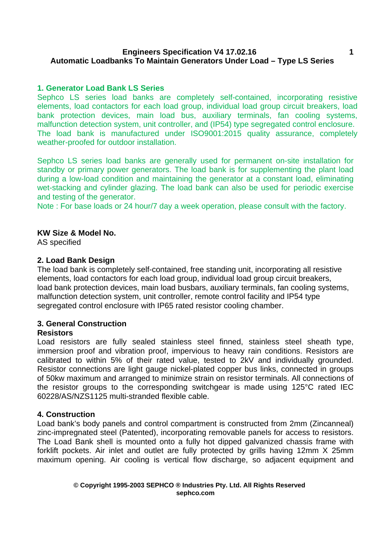### **Engineers Specification V4 17.02.16 Automatic Loadbanks To Maintain Generators Under Load – Type LS Series**

## **1. Generator Load Bank LS Series**

Sephco LS series load banks are completely self-contained, incorporating resistive elements, load contactors for each load group, individual load group circuit breakers, load bank protection devices, main load bus, auxiliary terminals, fan cooling systems, malfunction detection system, unit controller, and (IP54) type segregated control enclosure. The load bank is manufactured under ISO9001:2015 quality assurance, completely weather-proofed for outdoor installation.

Sephco LS series load banks are generally used for permanent on-site installation for standby or primary power generators. The load bank is for supplementing the plant load during a low-load condition and maintaining the generator at a constant load, eliminating wet-stacking and cylinder glazing. The load bank can also be used for periodic exercise and testing of the generator.

Note : For base loads or 24 hour/7 day a week operation, please consult with the factory.

### **KW Size & Model No.**

AS specified

#### **2. Load Bank Design**

The load bank is completely self-contained, free standing unit, incorporating all resistive elements, load contactors for each load group, individual load group circuit breakers, load bank protection devices, main load busbars, auxiliary terminals, fan cooling systems, malfunction detection system, unit controller, remote control facility and IP54 type segregated control enclosure with IP65 rated resistor cooling chamber.

# **3. General Construction**

#### **Resistors**

Load resistors are fully sealed stainless steel finned, stainless steel sheath type, immersion proof and vibration proof, impervious to heavy rain conditions. Resistors are calibrated to within 5% of their rated value, tested to 2kV and individually grounded. Resistor connections are light gauge nickel-plated copper bus links, connected in groups of 50kw maximum and arranged to minimize strain on resistor terminals. All connections of the resistor groups to the corresponding switchgear is made using 125°C rated IEC 60228/AS/NZS1125 multi-stranded flexible cable.

#### **4. Construction**

Load bank's body panels and control compartment is constructed from 2mm (Zincanneal) zinc-impregnated steel (Patented), incorporating removable panels for access to resistors. The Load Bank shell is mounted onto a fully hot dipped galvanized chassis frame with forklift pockets. Air inlet and outlet are fully protected by grills having 12mm X 25mm maximum opening. Air cooling is vertical flow discharge, so adjacent equipment and

#### **© Copyright 1995-2003 SEPHCO ® Industries Pty. Ltd. All Rights Reserved sephco.com**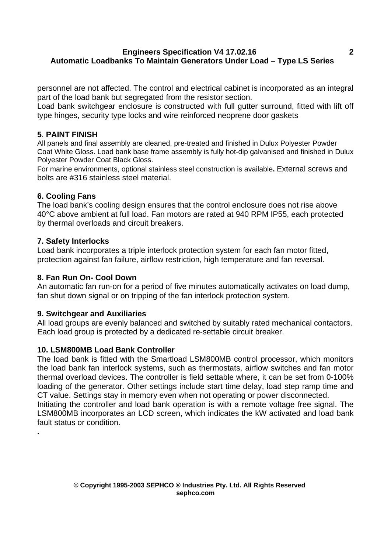# **Engineers Specification V4 17.02.16 Automatic Loadbanks To Maintain Generators Under Load – Type LS Series**

personnel are not affected. The control and electrical cabinet is incorporated as an integral part of the load bank but segregated from the resistor section.

Load bank switchgear enclosure is constructed with full gutter surround, fitted with lift off type hinges, security type locks and wire reinforced neoprene door gaskets

# **5**. **PAINT FINISH**

All panels and final assembly are cleaned, pre-treated and finished in Dulux Polyester Powder Coat White Gloss. Load bank base frame assembly is fully hot-dip galvanised and finished in Dulux Polyester Powder Coat Black Gloss.

For marine environments, optional stainless steel construction is available**.** External screws and bolts are #316 stainless steel material.

# **6. Cooling Fans**

The load bank's cooling design ensures that the control enclosure does not rise above 40°C above ambient at full load. Fan motors are rated at 940 RPM IP55, each protected by thermal overloads and circuit breakers.

### **7. Safety Interlocks**

Load bank incorporates a triple interlock protection system for each fan motor fitted, protection against fan failure, airflow restriction, high temperature and fan reversal.

#### **8. Fan Run On- Cool Down**

An automatic fan run-on for a period of five minutes automatically activates on load dump, fan shut down signal or on tripping of the fan interlock protection system.

# **9. Switchgear and Auxiliaries**

All load groups are evenly balanced and switched by suitably rated mechanical contactors. Each load group is protected by a dedicated re-settable circuit breaker.

# **10. LSM800MB Load Bank Controller**

The load bank is fitted with the Smartload LSM800MB control processor, which monitors the load bank fan interlock systems, such as thermostats, airflow switches and fan motor thermal overload devices. The controller is field settable where, it can be set from 0-100% loading of the generator. Other settings include start time delay, load step ramp time and CT value. Settings stay in memory even when not operating or power disconnected.

Initiating the controller and load bank operation is with a remote voltage free signal. The LSM800MB incorporates an LCD screen, which indicates the kW activated and load bank fault status or condition. **.**